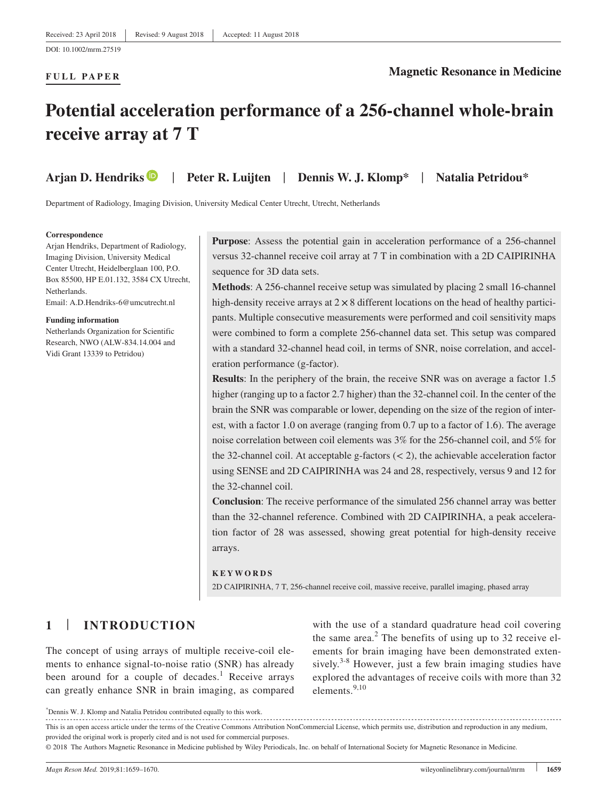### **FULL PAPER**

### **Magnetic Resonance in Medicine**

# **Potential acceleration performance of a 256‐channel whole‐brain receive array at 7 T**

**Arjan D. Hendrik[s](http://orcid.org/0000-0002-0363-2471)** | **Peter R. Luijten** | **Dennis W. J. Klomp\*** | **Natalia Petridou\***

Department of Radiology, Imaging Division, University Medical Center Utrecht, Utrecht, Netherlands

#### **Correspondence**

Arjan Hendriks, Department of Radiology, Imaging Division, University Medical Center Utrecht, Heidelberglaan 100, P.O. Box 85500, HP E.01.132, 3584 CX Utrecht, Netherlands. Email: [A.D.Hendriks-6@umcutrecht.nl](mailto:A.D.Hendriks-6@umcutrecht.nl)

#### **Funding information**

Netherlands Organization for Scientific Research, NWO (ALW‐834.14.004 and Vidi Grant 13339 to Petridou)

Purpose: Assess the potential gain in acceleration performance of a 256-channel versus 32‐channel receive coil array at 7 T in combination with a 2D CAIPIRINHA sequence for 3D data sets.

**Methods**: A 256‐channel receive setup was simulated by placing 2 small 16‐channel high-density receive arrays at  $2 \times 8$  different locations on the head of healthy participants. Multiple consecutive measurements were performed and coil sensitivity maps were combined to form a complete 256‐channel data set. This setup was compared with a standard 32-channel head coil, in terms of SNR, noise correlation, and acceleration performance (g‐factor).

**Results**: In the periphery of the brain, the receive SNR was on average a factor 1.5 higher (ranging up to a factor 2.7 higher) than the 32-channel coil. In the center of the brain the SNR was comparable or lower, depending on the size of the region of interest, with a factor 1.0 on average (ranging from 0.7 up to a factor of 1.6). The average noise correlation between coil elements was 3% for the 256‐channel coil, and 5% for the 32-channel coil. At acceptable g-factors  $(< 2)$ , the achievable acceleration factor using SENSE and 2D CAIPIRINHA was 24 and 28, respectively, versus 9 and 12 for the 32‐channel coil.

**Conclusion**: The receive performance of the simulated 256 channel array was better than the 32-channel reference. Combined with 2D CAIPIRINHA, a peak acceleration factor of 28 was assessed, showing great potential for high‐density receive arrays.

### **KEYWORDS**

2D CAIPIRINHA, 7 T, 256‐channel receive coil, massive receive, parallel imaging, phased array

### **1** | **INTRODUCTION**

The concept of using arrays of multiple receive-coil elements to enhance signal-to-noise ratio (SNR) has already been around for a couple of decades.<sup>1</sup> Receive arrays can greatly enhance SNR in brain imaging, as compared

with the use of a standard quadrature head coil covering the same area. $2$  The benefits of using up to 32 receive elements for brain imaging have been demonstrated extensively.<sup>3-8</sup> However, just a few brain imaging studies have explored the advantages of receive coils with more than 32 elements.<sup>9,10</sup>

This is an open access article under the terms of the [Creative Commons Attribution NonCommercial](http://creativecommons.org/licenses/by-nc-nd/4.0/) License, which permits use, distribution and reproduction in any medium, provided the original work is properly cited and is not used for commercial purposes.

© 2018 The Authors Magnetic Resonance in Medicine published by Wiley Periodicals, Inc. on behalf of International Society for Magnetic Resonance in Medicine.

<sup>\*</sup> Dennis W. J. Klomp and Natalia Petridou contributed equally to this work.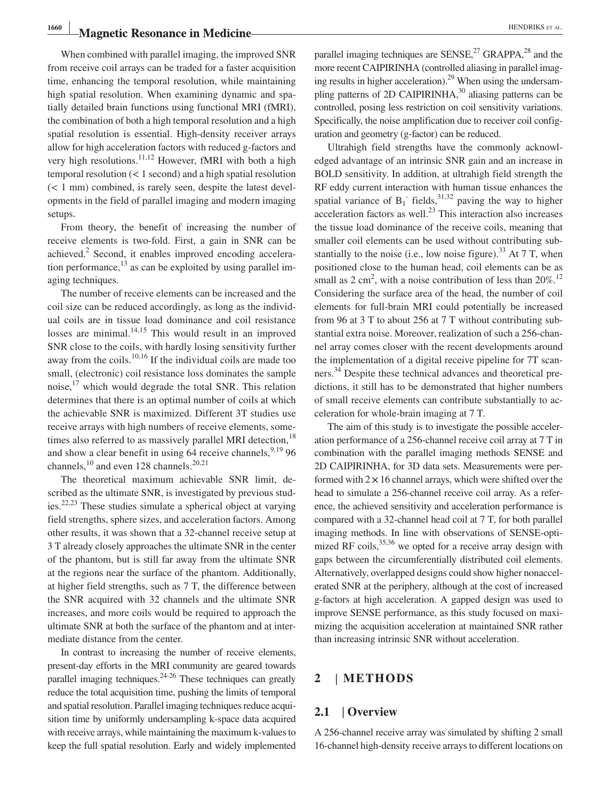## **Magnetic Resonance in Medicine Magnetic Resonance in Medicine**

When combined with parallel imaging, the improved SNR from receive coil arrays can be traded for a faster acquisition time, enhancing the temporal resolution, while maintaining high spatial resolution. When examining dynamic and spatially detailed brain functions using functional MRI (fMRI), the combination of both a high temporal resolution and a high spatial resolution is essential. High‐density receiver arrays allow for high acceleration factors with reduced g‐factors and very high resolutions.<sup>11,12</sup> However, fMRI with both a high temporal resolution (< 1 second) and a high spatial resolution (< 1 mm) combined, is rarely seen, despite the latest developments in the field of parallel imaging and modern imaging setups.

From theory, the benefit of increasing the number of receive elements is two‐fold. First, a gain in SNR can be achieved.<sup>2</sup> Second, it enables improved encoding acceleration performance, $^{13}$  as can be exploited by using parallel imaging techniques.

The number of receive elements can be increased and the coil size can be reduced accordingly, as long as the individual coils are in tissue load dominance and coil resistance losses are minimal.<sup>14,15</sup> This would result in an improved SNR close to the coils, with hardly losing sensitivity further away from the coils.<sup>10,16</sup> If the individual coils are made too small, (electronic) coil resistance loss dominates the sample noise, $17$  which would degrade the total SNR. This relation determines that there is an optimal number of coils at which the achievable SNR is maximized. Different 3T studies use receive arrays with high numbers of receive elements, sometimes also referred to as massively parallel MRI detection,<sup>18</sup> and show a clear benefit in using  $64$  receive channels,  $9,19$  96 channels, $^{10}$  and even 128 channels. $^{20,21}$ 

The theoretical maximum achievable SNR limit, described as the ultimate SNR, is investigated by previous studies.22,23 These studies simulate a spherical object at varying field strengths, sphere sizes, and acceleration factors. Among other results, it was shown that a 32‐channel receive setup at 3 T already closely approaches the ultimate SNR in the center of the phantom, but is still far away from the ultimate SNR at the regions near the surface of the phantom. Additionally, at higher field strengths, such as 7 T, the difference between the SNR acquired with 32 channels and the ultimate SNR increases, and more coils would be required to approach the ultimate SNR at both the surface of the phantom and at intermediate distance from the center.

In contrast to increasing the number of receive elements, present‐day efforts in the MRI community are geared towards parallel imaging techniques. $24-26$  These techniques can greatly reduce the total acquisition time, pushing the limits of temporal and spatial resolution. Parallel imaging techniques reduce acquisition time by uniformly undersampling k-space data acquired with receive arrays, while maintaining the maximum k-values to keep the full spatial resolution. Early and widely implemented parallel imaging techniques are  $SENSE<sup>27</sup>$  GRAPPA,<sup>28</sup> and the more recent CAIPIRINHA (controlled aliasing in parallel imaging results in higher acceleration). $^{29}$  When using the undersampling patterns of 2D CAIPIRINHA,<sup>30</sup> aliasing patterns can be controlled, posing less restriction on coil sensitivity variations. Specifically, the noise amplification due to receiver coil configuration and geometry (g‐factor) can be reduced.

Ultrahigh field strengths have the commonly acknowledged advantage of an intrinsic SNR gain and an increase in BOLD sensitivity. In addition, at ultrahigh field strength the RF eddy current interaction with human tissue enhances the spatial variance of  $B_1$  fields,<sup>31,32</sup> paving the way to higher acceleration factors as well. $^{23}$  This interaction also increases the tissue load dominance of the receive coils, meaning that smaller coil elements can be used without contributing substantially to the noise (i.e., low noise figure).<sup>33</sup> At 7 T, when positioned close to the human head, coil elements can be as small as  $2 \text{ cm}^2$ , with a noise contribution of less than  $20\%$ .<sup>12</sup> Considering the surface area of the head, the number of coil elements for full‐brain MRI could potentially be increased from 96 at 3 T to about 256 at 7 T without contributing substantial extra noise. Moreover, realization of such a 256‐channel array comes closer with the recent developments around the implementation of a digital receive pipeline for 7T scanners.<sup>34</sup> Despite these technical advances and theoretical predictions, it still has to be demonstrated that higher numbers of small receive elements can contribute substantially to acceleration for whole‐brain imaging at 7 T.

The aim of this study is to investigate the possible acceleration performance of a 256‐channel receive coil array at 7 T in combination with the parallel imaging methods SENSE and 2D CAIPIRINHA, for 3D data sets. Measurements were performed with  $2 \times 16$  channel arrays, which were shifted over the head to simulate a 256-channel receive coil array. As a reference, the achieved sensitivity and acceleration performance is compared with a 32‐channel head coil at 7 T, for both parallel imaging methods. In line with observations of SENSE‐optimized RF coils, $35,36$  we opted for a receive array design with gaps between the circumferentially distributed coil elements. Alternatively, overlapped designs could show higher nonaccelerated SNR at the periphery, although at the cost of increased g‐factors at high acceleration. A gapped design was used to improve SENSE performance, as this study focused on maximizing the acquisition acceleration at maintained SNR rather than increasing intrinsic SNR without acceleration.

### **2** | **METHODS**

### **2.1** | **Overview**

A 256‐channel receive array was simulated by shifting 2 small 16‐channel high‐density receive arrays to different locations on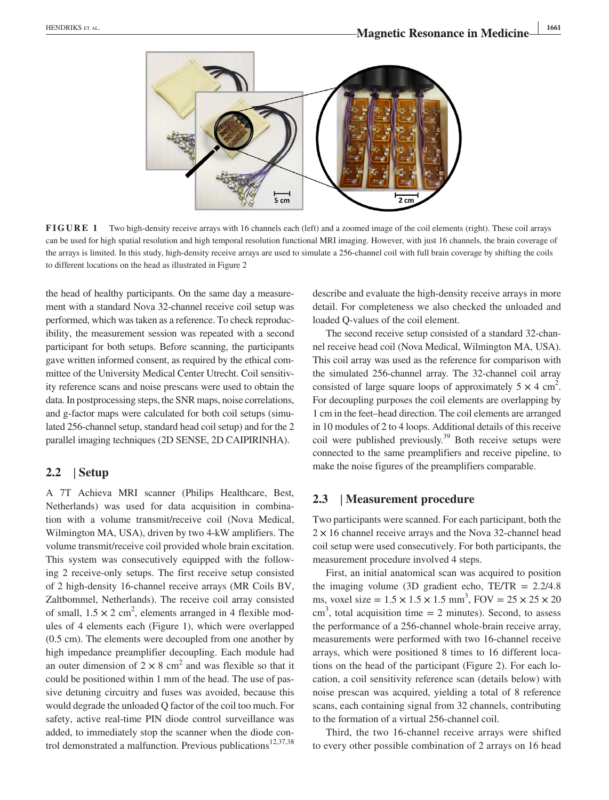

**FIGURE 1** Two high-density receive arrays with 16 channels each (left) and a zoomed image of the coil elements (right). These coil arrays can be used for high spatial resolution and high temporal resolution functional MRI imaging. However, with just 16 channels, the brain coverage of the arrays is limited. In this study, high-density receive arrays are used to simulate a 256-channel coil with full brain coverage by shifting the coils to different locations on the head as illustrated in Figure 2

the head of healthy participants. On the same day a measurement with a standard Nova 32‐channel receive coil setup was performed, which was taken as a reference. To check reproducibility, the measurement session was repeated with a second participant for both setups. Before scanning, the participants gave written informed consent, as required by the ethical committee of the University Medical Center Utrecht. Coil sensitivity reference scans and noise prescans were used to obtain the data. In postprocessing steps, the SNR maps, noise correlations, and g‐factor maps were calculated for both coil setups (simulated 256‐channel setup, standard head coil setup) and for the 2 parallel imaging techniques (2D SENSE, 2D CAIPIRINHA).

### **2.2** | **Setup**

A 7T Achieva MRI scanner (Philips Healthcare, Best, Netherlands) was used for data acquisition in combination with a volume transmit/receive coil (Nova Medical, Wilmington MA, USA), driven by two 4‐kW amplifiers. The volume transmit/receive coil provided whole brain excitation. This system was consecutively equipped with the following 2 receive‐only setups. The first receive setup consisted of 2 high‐density 16‐channel receive arrays (MR Coils BV, Zaltbommel, Netherlands). The receive coil array consisted of small,  $1.5 \times 2$  cm<sup>2</sup>, elements arranged in 4 flexible modules of 4 elements each (Figure 1), which were overlapped (0.5 cm). The elements were decoupled from one another by high impedance preamplifier decoupling. Each module had an outer dimension of  $2 \times 8$  cm<sup>2</sup> and was flexible so that it could be positioned within 1 mm of the head. The use of passive detuning circuitry and fuses was avoided, because this would degrade the unloaded Q factor of the coil too much. For safety, active real-time PIN diode control surveillance was added, to immediately stop the scanner when the diode control demonstrated a malfunction. Previous publications $12,37,38$ 

describe and evaluate the high‐density receive arrays in more detail. For completeness we also checked the unloaded and loaded Q‐values of the coil element.

The second receive setup consisted of a standard 32‐channel receive head coil (Nova Medical, Wilmington MA, USA). This coil array was used as the reference for comparison with the simulated 256‐channel array. The 32‐channel coil array consisted of large square loops of approximately  $5 \times 4 \text{ cm}^2$ . For decoupling purposes the coil elements are overlapping by 1 cm in the feet–head direction. The coil elements are arranged in 10 modules of 2 to 4 loops. Additional details of this receive coil were published previously.<sup>39</sup> Both receive setups were connected to the same preamplifiers and receive pipeline, to make the noise figures of the preamplifiers comparable.

### **2.3** | **Measurement procedure**

Two participants were scanned. For each participant, both the  $2 \times 16$  channel receive arrays and the Nova 32-channel head coil setup were used consecutively. For both participants, the measurement procedure involved 4 steps.

First, an initial anatomical scan was acquired to position the imaging volume (3D gradient echo,  $TE/TR = 2.2/4.8$ ) ms, voxel size =  $1.5 \times 1.5 \times 1.5$  mm<sup>3</sup>, FOV =  $25 \times 25 \times 20$  $\text{cm}^3$ , total acquisition time = 2 minutes). Second, to assess the performance of a 256‐channel whole‐brain receive array, measurements were performed with two 16‐channel receive arrays, which were positioned 8 times to 16 different locations on the head of the participant (Figure 2). For each location, a coil sensitivity reference scan (details below) with noise prescan was acquired, yielding a total of 8 reference scans, each containing signal from 32 channels, contributing to the formation of a virtual 256‐channel coil.

Third, the two 16‐channel receive arrays were shifted to every other possible combination of 2 arrays on 16 head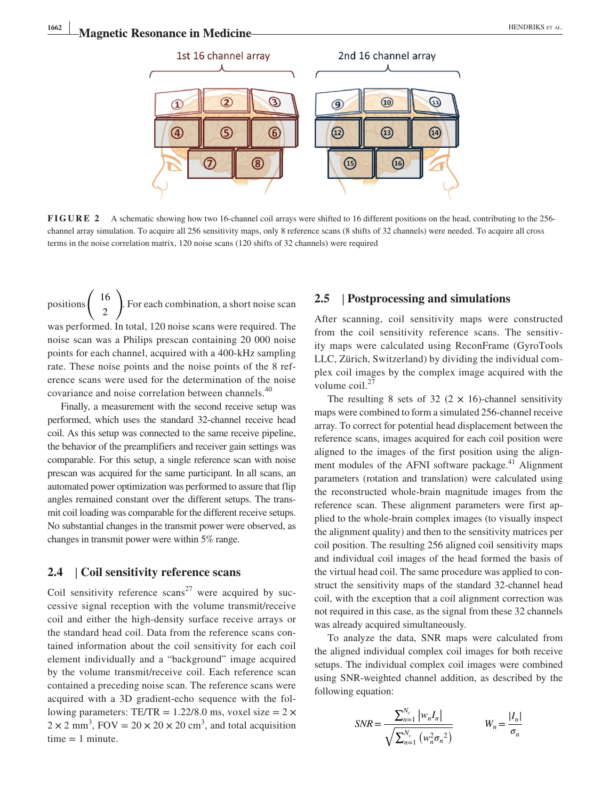

**FIGURE 2** A schematic showing how two 16-channel coil arrays were shifted to 16 different positions on the head, contributing to the 256 channel array simulation. To acquire all 256 sensitivity maps, only 8 reference scans (8 shifts of 32 channels) were needed. To acquire all cross terms in the noise correlation matrix, 120 noise scans (120 shifts of 32 channels) were required

positions  $\begin{pmatrix} 16 \\ 2 \end{pmatrix}$ 2  $\lambda$ . For each combination, a short noise scan was performed. In total, 120 noise scans were required. The noise scan was a Philips prescan containing 20 000 noise points for each channel, acquired with a 400‐kHz sampling rate. These noise points and the noise points of the 8 reference scans were used for the determination of the noise covariance and noise correlation between channels.<sup>40</sup>

Finally, a measurement with the second receive setup was performed, which uses the standard 32‐channel receive head coil. As this setup was connected to the same receive pipeline, the behavior of the preamplifiers and receiver gain settings was comparable. For this setup, a single reference scan with noise prescan was acquired for the same participant. In all scans, an automated power optimization was performed to assure that flip angles remained constant over the different setups. The transmit coil loading was comparable for the different receive setups. No substantial changes in the transmit power were observed, as changes in transmit power were within 5% range.

### **2.4** | **Coil sensitivity reference scans**

Coil sensitivity reference scans<sup>27</sup> were acquired by successive signal reception with the volume transmit/receive coil and either the high‐density surface receive arrays or the standard head coil. Data from the reference scans contained information about the coil sensitivity for each coil element individually and a "background" image acquired by the volume transmit/receive coil. Each reference scan contained a preceding noise scan. The reference scans were acquired with a 3D gradient‐echo sequence with the following parameters: TE/TR =  $1.22/8.0$  ms, voxel size =  $2 \times$  $2 \times 2$  mm<sup>3</sup>, FOV =  $20 \times 20 \times 20$  cm<sup>3</sup>, and total acquisition  $time = 1$  minute.

### **2.5** | **Postprocessing and simulations**

After scanning, coil sensitivity maps were constructed from the coil sensitivity reference scans. The sensitivity maps were calculated using ReconFrame (GyroTools LLC, Zürich, Switzerland) by dividing the individual complex coil images by the complex image acquired with the volume coil.<sup>27</sup>

The resulting 8 sets of 32 (2  $\times$  16)-channel sensitivity maps were combined to form a simulated 256‐channel receive array. To correct for potential head displacement between the reference scans, images acquired for each coil position were aligned to the images of the first position using the alignment modules of the AFNI software package.<sup>41</sup> Alignment parameters (rotation and translation) were calculated using the reconstructed whole‐brain magnitude images from the reference scan. These alignment parameters were first applied to the whole‐brain complex images (to visually inspect the alignment quality) and then to the sensitivity matrices per coil position. The resulting 256 aligned coil sensitivity maps and individual coil images of the head formed the basis of the virtual head coil. The same procedure was applied to construct the sensitivity maps of the standard 32‐channel head coil, with the exception that a coil alignment correction was not required in this case, as the signal from these 32 channels was already acquired simultaneously.

To analyze the data, SNR maps were calculated from the aligned individual complex coil images for both receive setups. The individual complex coil images were combined using SNR‐weighted channel addition, as described by the following equation:

$$
SNR = \frac{\sum_{n=1}^{N_c} |w_n I_n|}{\sqrt{\sum_{n=1}^{N_c} (w_n^2 \sigma_n^2)}}
$$
  $W_n = \frac{|I_n|}{\sigma_n}$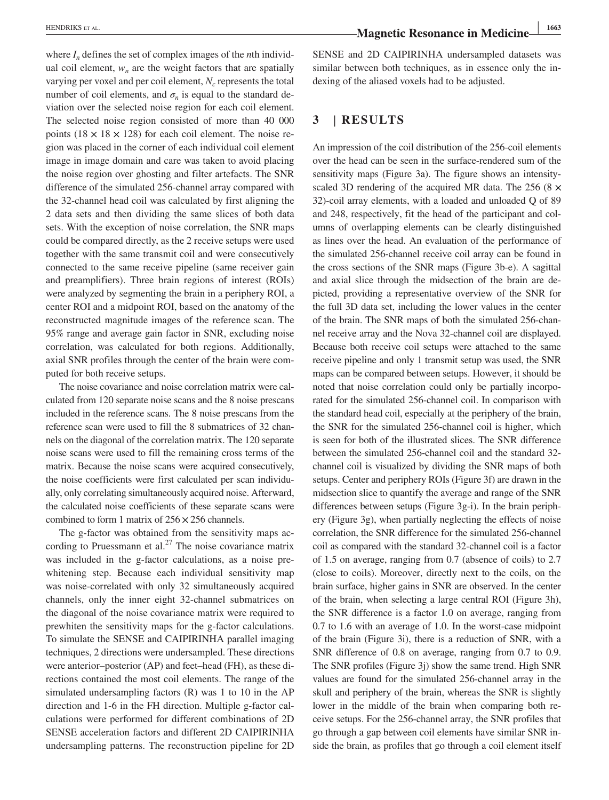where  $I_n$  defines the set of complex images of the *n*th individual coil element,  $w_n$  are the weight factors that are spatially varying per voxel and per coil element,  $N_c$  represents the total number of coil elements, and  $\sigma_n$  is equal to the standard deviation over the selected noise region for each coil element. The selected noise region consisted of more than 40 000 points  $(18 \times 18 \times 128)$  for each coil element. The noise region was placed in the corner of each individual coil element image in image domain and care was taken to avoid placing the noise region over ghosting and filter artefacts. The SNR difference of the simulated 256‐channel array compared with the 32‐channel head coil was calculated by first aligning the 2 data sets and then dividing the same slices of both data sets. With the exception of noise correlation, the SNR maps could be compared directly, as the 2 receive setups were used together with the same transmit coil and were consecutively connected to the same receive pipeline (same receiver gain and preamplifiers). Three brain regions of interest (ROIs) were analyzed by segmenting the brain in a periphery ROI, a center ROI and a midpoint ROI, based on the anatomy of the reconstructed magnitude images of the reference scan. The 95% range and average gain factor in SNR, excluding noise correlation, was calculated for both regions. Additionally, axial SNR profiles through the center of the brain were computed for both receive setups.

The noise covariance and noise correlation matrix were calculated from 120 separate noise scans and the 8 noise prescans included in the reference scans. The 8 noise prescans from the reference scan were used to fill the 8 submatrices of 32 channels on the diagonal of the correlation matrix. The 120 separate noise scans were used to fill the remaining cross terms of the matrix. Because the noise scans were acquired consecutively, the noise coefficients were first calculated per scan individually, only correlating simultaneously acquired noise. Afterward, the calculated noise coefficients of these separate scans were combined to form 1 matrix of  $256 \times 256$  channels.

The g-factor was obtained from the sensitivity maps according to Pruessmann et al.<sup>27</sup> The noise covariance matrix was included in the g-factor calculations, as a noise prewhitening step. Because each individual sensitivity map was noise-correlated with only 32 simultaneously acquired channels, only the inner eight 32‐channel submatrices on the diagonal of the noise covariance matrix were required to prewhiten the sensitivity maps for the g-factor calculations. To simulate the SENSE and CAIPIRINHA parallel imaging techniques, 2 directions were undersampled. These directions were anterior–posterior (AP) and feet–head (FH), as these directions contained the most coil elements. The range of the simulated undersampling factors (R) was 1 to 10 in the AP direction and 1‐6 in the FH direction. Multiple g‐factor calculations were performed for different combinations of 2D SENSE acceleration factors and different 2D CAIPIRINHA undersampling patterns. The reconstruction pipeline for 2D SENSE and 2D CAIPIRINHA undersampled datasets was similar between both techniques, as in essence only the indexing of the aliased voxels had to be adjusted.

### **3** | **RESULTS**

An impression of the coil distribution of the 256‐coil elements over the head can be seen in the surface‐rendered sum of the sensitivity maps (Figure 3a). The figure shows an intensityscaled 3D rendering of the acquired MR data. The 256 (8  $\times$ 32)‐coil array elements, with a loaded and unloaded Q of 89 and 248, respectively, fit the head of the participant and columns of overlapping elements can be clearly distinguished as lines over the head. An evaluation of the performance of the simulated 256‐channel receive coil array can be found in the cross sections of the SNR maps (Figure 3b‐e). A sagittal and axial slice through the midsection of the brain are depicted, providing a representative overview of the SNR for the full 3D data set, including the lower values in the center of the brain. The SNR maps of both the simulated 256‐channel receive array and the Nova 32‐channel coil are displayed. Because both receive coil setups were attached to the same receive pipeline and only 1 transmit setup was used, the SNR maps can be compared between setups. However, it should be noted that noise correlation could only be partially incorporated for the simulated 256‐channel coil. In comparison with the standard head coil, especially at the periphery of the brain, the SNR for the simulated 256‐channel coil is higher, which is seen for both of the illustrated slices. The SNR difference between the simulated 256‐channel coil and the standard 32‐ channel coil is visualized by dividing the SNR maps of both setups. Center and periphery ROIs (Figure 3f) are drawn in the midsection slice to quantify the average and range of the SNR differences between setups (Figure 3g‐i). In the brain periphery (Figure 3g), when partially neglecting the effects of noise correlation, the SNR difference for the simulated 256‐channel coil as compared with the standard 32‐channel coil is a factor of 1.5 on average, ranging from 0.7 (absence of coils) to 2.7 (close to coils). Moreover, directly next to the coils, on the brain surface, higher gains in SNR are observed. In the center of the brain, when selecting a large central ROI (Figure 3h), the SNR difference is a factor 1.0 on average, ranging from 0.7 to 1.6 with an average of 1.0. In the worst-case midpoint of the brain (Figure 3i), there is a reduction of SNR, with a SNR difference of 0.8 on average, ranging from 0.7 to 0.9. The SNR profiles (Figure 3j) show the same trend. High SNR values are found for the simulated 256‐channel array in the skull and periphery of the brain, whereas the SNR is slightly lower in the middle of the brain when comparing both receive setups. For the 256‐channel array, the SNR profiles that go through a gap between coil elements have similar SNR inside the brain, as profiles that go through a coil element itself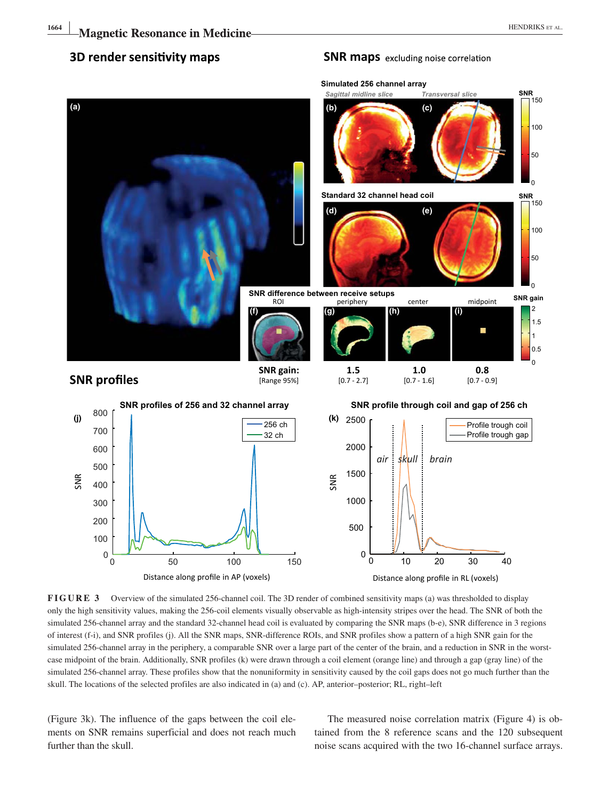### 3D render sensitivity maps

**(a)**

### **Simulated 256 channel array SNR** 50 100 .<br>150 *Sagittal midline slice Transversal slice* **(b) (c)**

**SNR maps** excluding noise correlation



**FIGURE 3** Overview of the simulated 256‐channel coil. The 3D render of combined sensitivity maps (a) was thresholded to display only the high sensitivity values, making the 256‐coil elements visually observable as high‐intensity stripes over the head. The SNR of both the simulated 256-channel array and the standard 32-channel head coil is evaluated by comparing the SNR maps (b-e), SNR difference in 3 regions of interest (f‐i), and SNR profiles (j). All the SNR maps, SNR‐difference ROIs, and SNR profiles show a pattern of a high SNR gain for the simulated 256-channel array in the periphery, a comparable SNR over a large part of the center of the brain, and a reduction in SNR in the worstcase midpoint of the brain. Additionally, SNR profiles (k) were drawn through a coil element (orange line) and through a gap (gray line) of the simulated 256‐channel array. These profiles show that the nonuniformity in sensitivity caused by the coil gaps does not go much further than the skull. The locations of the selected profiles are also indicated in (a) and (c). AP, anterior–posterior; RL, right–left

(Figure 3k). The influence of the gaps between the coil elements on SNR remains superficial and does not reach much further than the skull.

Distance along profile in AP (voxels)

The measured noise correlation matrix (Figure 4) is obtained from the 8 reference scans and the 120 subsequent noise scans acquired with the two 16‐channel surface arrays.

Distance along profile in RL (voxels)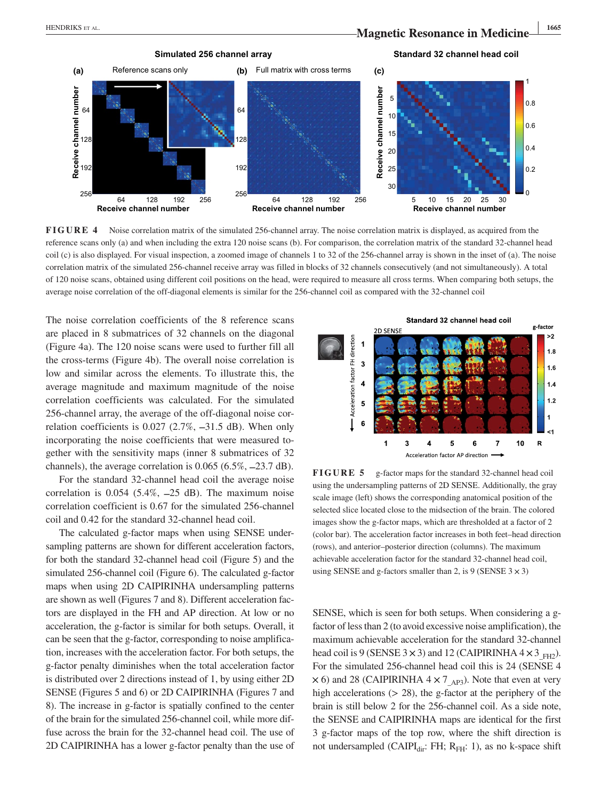

**FIGURE 4** Noise correlation matrix of the simulated 256-channel array. The noise correlation matrix is displayed, as acquired from the reference scans only (a) and when including the extra 120 noise scans (b). For comparison, the correlation matrix of the standard 32‐channel head coil (c) is also displayed. For visual inspection, a zoomed image of channels 1 to 32 of the 256-channel array is shown in the inset of (a). The noise correlation matrix of the simulated 256‐channel receive array was filled in blocks of 32 channels consecutively (and not simultaneously). A total of 120 noise scans, obtained using different coil positions on the head, were required to measure all cross terms. When comparing both setups, the average noise correlation of the off-diagonal elements is similar for the 256-channel coil as compared with the 32-channel coil

The noise correlation coefficients of the 8 reference scans are placed in 8 submatrices of 32 channels on the diagonal (Figure 4a). The 120 noise scans were used to further fill all the cross‐terms (Figure 4b). The overall noise correlation is low and similar across the elements. To illustrate this, the average magnitude and maximum magnitude of the noise correlation coefficients was calculated. For the simulated 256‐channel array, the average of the off‐diagonal noise correlation coefficients is 0.027 (2.7%, −31.5 dB). When only incorporating the noise coefficients that were measured together with the sensitivity maps (inner 8 submatrices of 32 channels), the average correlation is 0.065 (6.5%, −23.7 dB).

For the standard 32‐channel head coil the average noise correlation is  $0.054$  (5.4%,  $-25$  dB). The maximum noise correlation coefficient is 0.67 for the simulated 256‐channel coil and 0.42 for the standard 32‐channel head coil.

The calculated g-factor maps when using SENSE undersampling patterns are shown for different acceleration factors, for both the standard 32‐channel head coil (Figure 5) and the simulated 256-channel coil (Figure 6). The calculated g-factor maps when using 2D CAIPIRINHA undersampling patterns are shown as well (Figures 7 and 8). Different acceleration factors are displayed in the FH and AP direction. At low or no acceleration, the g‐factor is similar for both setups. Overall, it can be seen that the g‐factor, corresponding to noise amplification, increases with the acceleration factor. For both setups, the g‐factor penalty diminishes when the total acceleration factor is distributed over 2 directions instead of 1, by using either 2D SENSE (Figures 5 and 6) or 2D CAIPIRINHA (Figures 7 and 8). The increase in g‐factor is spatially confined to the center of the brain for the simulated 256‐channel coil, while more diffuse across the brain for the 32‐channel head coil. The use of 2D CAIPIRINHA has a lower g‐factor penalty than the use of



**FIGURE 5** g-factor maps for the standard 32-channel head coil using the undersampling patterns of 2D SENSE. Additionally, the gray scale image (left) shows the corresponding anatomical position of the selected slice located close to the midsection of the brain. The colored images show the g-factor maps, which are thresholded at a factor of 2 (color bar). The acceleration factor increases in both feet–head direction (rows), and anterior–posterior direction (columns). The maximum achievable acceleration factor for the standard 32‐channel head coil, using SENSE and g-factors smaller than 2, is 9 (SENSE  $3 \times 3$ )

SENSE, which is seen for both setups. When considering a gfactor of less than 2 (to avoid excessive noise amplification), the maximum achievable acceleration for the standard 32‐channel head coil is 9 (SENSE 3  $\times$  3) and 12 (CAIPIRINHA 4  $\times$  3<sub>FH2</sub>). For the simulated 256‐channel head coil this is 24 (SENSE 4  $\times$  6) and 28 (CAIPIRINHA 4  $\times$  7<sub>AP3</sub>). Note that even at very high accelerations  $(28)$ , the g-factor at the periphery of the brain is still below 2 for the 256‐channel coil. As a side note, the SENSE and CAIPIRINHA maps are identical for the first 3 g‐factor maps of the top row, where the shift direction is not undersampled (CAIPI $_{dir}$ : FH; R<sub>FH</sub>: 1), as no k-space shift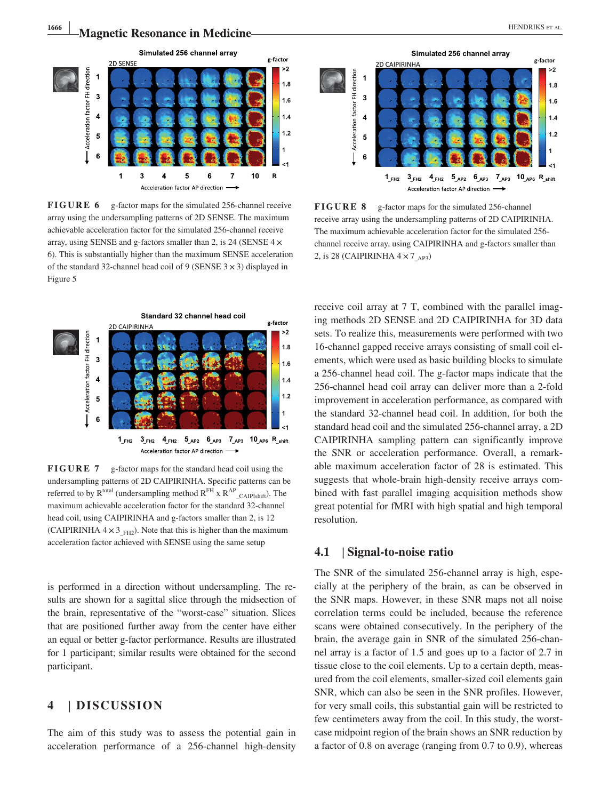

**FIGURE 6** g-factor maps for the simulated 256-channel receive array using the undersampling patterns of 2D SENSE. The maximum achievable acceleration factor for the simulated 256‐channel receive array, using SENSE and g-factors smaller than 2, is 24 (SENSE  $4 \times$ 6). This is substantially higher than the maximum SENSE acceleration of the standard 32-channel head coil of 9 (SENSE  $3 \times 3$ ) displayed in Figure 5



**FIGURE 7** g-factor maps for the standard head coil using the undersampling patterns of 2D CAIPIRINHA. Specific patterns can be referred to by  $R^{total}$  (undersampling method  $R^{FH}$  x  $R^{AP}$   $_{CAlPIshift}$ ). The maximum achievable acceleration factor for the standard 32‐channel head coil, using CAIPIRINHA and g-factors smaller than 2, is 12 (CAIPIRINHA  $4 \times 3$ <sub>FH2</sub>). Note that this is higher than the maximum acceleration factor achieved with SENSE using the same setup

is performed in a direction without undersampling. The results are shown for a sagittal slice through the midsection of the brain, representative of the "worst‐case" situation. Slices that are positioned further away from the center have either an equal or better g‐factor performance. Results are illustrated for 1 participant; similar results were obtained for the second participant.

### **4** | **DISCUSSION**

The aim of this study was to assess the potential gain in acceleration performance of a 256‐channel high‐density



**FIGURE 8** g-factor maps for the simulated 256-channel receive array using the undersampling patterns of 2D CAIPIRINHA. The maximum achievable acceleration factor for the simulated 256‐ channel receive array, using CAIPIRINHA and g‐factors smaller than 2, is 28 (CAIPIRINHA  $4 \times 7$ <sub>AP3</sub>)

receive coil array at 7 T, combined with the parallel imaging methods 2D SENSE and 2D CAIPIRINHA for 3D data sets. To realize this, measurements were performed with two 16‐channel gapped receive arrays consisting of small coil elements, which were used as basic building blocks to simulate a 256‐channel head coil. The g‐factor maps indicate that the 256‐channel head coil array can deliver more than a 2‐fold improvement in acceleration performance, as compared with the standard 32‐channel head coil. In addition, for both the standard head coil and the simulated 256‐channel array, a 2D CAIPIRINHA sampling pattern can significantly improve the SNR or acceleration performance. Overall, a remarkable maximum acceleration factor of 28 is estimated. This suggests that whole‐brain high‐density receive arrays combined with fast parallel imaging acquisition methods show great potential for fMRI with high spatial and high temporal resolution.

### **4.1** | **Signal‐to‐noise ratio**

The SNR of the simulated 256-channel array is high, especially at the periphery of the brain, as can be observed in the SNR maps. However, in these SNR maps not all noise correlation terms could be included, because the reference scans were obtained consecutively. In the periphery of the brain, the average gain in SNR of the simulated 256‐channel array is a factor of 1.5 and goes up to a factor of 2.7 in tissue close to the coil elements. Up to a certain depth, measured from the coil elements, smaller‐sized coil elements gain SNR, which can also be seen in the SNR profiles. However, for very small coils, this substantial gain will be restricted to few centimeters away from the coil. In this study, the worstcase midpoint region of the brain shows an SNR reduction by a factor of 0.8 on average (ranging from 0.7 to 0.9), whereas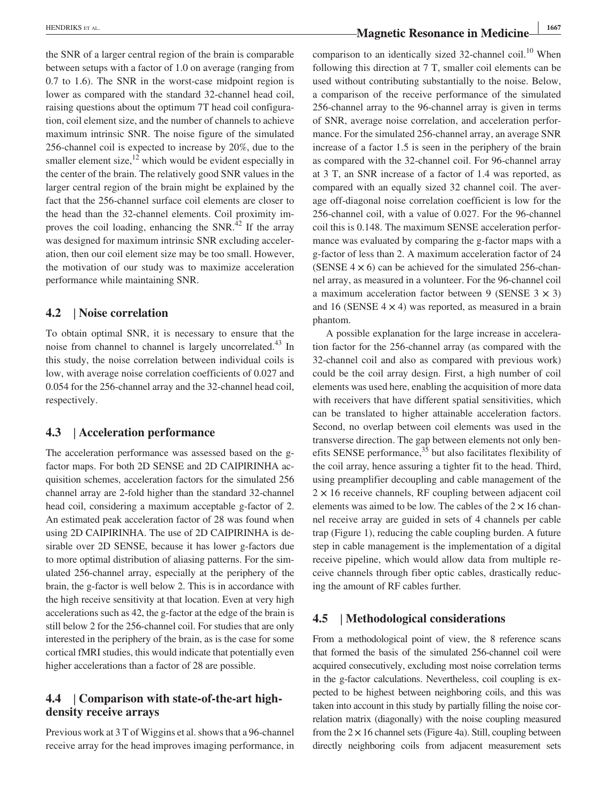the SNR of a larger central region of the brain is comparable between setups with a factor of 1.0 on average (ranging from 0.7 to 1.6). The SNR in the worst‐case midpoint region is lower as compared with the standard 32‐channel head coil, raising questions about the optimum 7T head coil configuration, coil element size, and the number of channels to achieve maximum intrinsic SNR. The noise figure of the simulated 256‐channel coil is expected to increase by 20%, due to the smaller element size, $^{12}$  which would be evident especially in the center of the brain. The relatively good SNR values in the larger central region of the brain might be explained by the fact that the 256‐channel surface coil elements are closer to the head than the 32‐channel elements. Coil proximity improves the coil loading, enhancing the  $SNR<sup>42</sup>$  If the array was designed for maximum intrinsic SNR excluding acceleration, then our coil element size may be too small. However, the motivation of our study was to maximize acceleration performance while maintaining SNR.

### **4.2** | **Noise correlation**

To obtain optimal SNR, it is necessary to ensure that the noise from channel to channel is largely uncorrelated.<sup>43</sup> In this study, the noise correlation between individual coils is low, with average noise correlation coefficients of 0.027 and 0.054 for the 256‐channel array and the 32‐channel head coil, respectively.

### **4.3** | **Acceleration performance**

The acceleration performance was assessed based on the gfactor maps. For both 2D SENSE and 2D CAIPIRINHA acquisition schemes, acceleration factors for the simulated 256 channel array are 2‐fold higher than the standard 32‐channel head coil, considering a maximum acceptable g-factor of 2. An estimated peak acceleration factor of 28 was found when using 2D CAIPIRINHA. The use of 2D CAIPIRINHA is desirable over 2D SENSE, because it has lower g-factors due to more optimal distribution of aliasing patterns. For the simulated 256‐channel array, especially at the periphery of the brain, the g‐factor is well below 2. This is in accordance with the high receive sensitivity at that location. Even at very high accelerations such as 42, the g‐factor at the edge of the brain is still below 2 for the 256‐channel coil. For studies that are only interested in the periphery of the brain, as is the case for some cortical fMRI studies, this would indicate that potentially even higher accelerations than a factor of 28 are possible.

### **4.4** | **Comparison with state‐of‐the‐art high‐ density receive arrays**

Previous work at 3 T of Wiggins et al. shows that a 96‐channel receive array for the head improves imaging performance, in comparison to an identically sized 32-channel coil.<sup>10</sup> When following this direction at 7 T, smaller coil elements can be used without contributing substantially to the noise. Below, a comparison of the receive performance of the simulated 256‐channel array to the 96‐channel array is given in terms of SNR, average noise correlation, and acceleration performance. For the simulated 256‐channel array, an average SNR increase of a factor 1.5 is seen in the periphery of the brain as compared with the 32‐channel coil. For 96‐channel array at 3 T, an SNR increase of a factor of 1.4 was reported, as compared with an equally sized 32 channel coil. The average off‐diagonal noise correlation coefficient is low for the 256‐channel coil, with a value of 0.027. For the 96‐channel coil this is 0.148. The maximum SENSE acceleration performance was evaluated by comparing the g-factor maps with a g‐factor of less than 2. A maximum acceleration factor of 24 (SENSE  $4 \times 6$ ) can be achieved for the simulated 256-channel array, as measured in a volunteer. For the 96‐channel coil a maximum acceleration factor between 9 (SENSE  $3 \times 3$ ) and 16 (SENSE  $4 \times 4$ ) was reported, as measured in a brain phantom.

A possible explanation for the large increase in acceleration factor for the 256‐channel array (as compared with the 32‐channel coil and also as compared with previous work) could be the coil array design. First, a high number of coil elements was used here, enabling the acquisition of more data with receivers that have different spatial sensitivities, which can be translated to higher attainable acceleration factors. Second, no overlap between coil elements was used in the transverse direction. The gap between elements not only benefits SENSE performance, $35$  but also facilitates flexibility of the coil array, hence assuring a tighter fit to the head. Third, using preamplifier decoupling and cable management of the  $2 \times 16$  receive channels, RF coupling between adjacent coil elements was aimed to be low. The cables of the  $2 \times 16$  channel receive array are guided in sets of 4 channels per cable trap (Figure 1), reducing the cable coupling burden. A future step in cable management is the implementation of a digital receive pipeline, which would allow data from multiple receive channels through fiber optic cables, drastically reducing the amount of RF cables further.

### **4.5** | **Methodological considerations**

From a methodological point of view, the 8 reference scans that formed the basis of the simulated 256‐channel coil were acquired consecutively, excluding most noise correlation terms in the g-factor calculations. Nevertheless, coil coupling is expected to be highest between neighboring coils, and this was taken into account in this study by partially filling the noise correlation matrix (diagonally) with the noise coupling measured from the  $2 \times 16$  channel sets (Figure 4a). Still, coupling between directly neighboring coils from adjacent measurement sets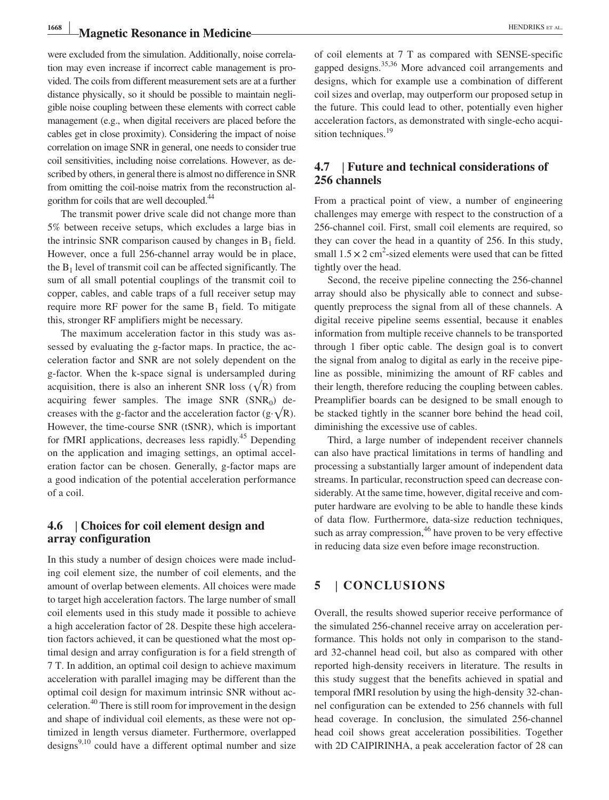# **Magnetic Resonance in Medicine Magnetic Resonance in Medicine Magnetic Resonance in Medicine**

were excluded from the simulation. Additionally, noise correlation may even increase if incorrect cable management is provided. The coils from different measurement sets are at a further distance physically, so it should be possible to maintain negligible noise coupling between these elements with correct cable management (e.g., when digital receivers are placed before the cables get in close proximity). Considering the impact of noise correlation on image SNR in general, one needs to consider true coil sensitivities, including noise correlations. However, as described by others, in general there is almost no difference in SNR from omitting the coil-noise matrix from the reconstruction algorithm for coils that are well decoupled.44

The transmit power drive scale did not change more than 5% between receive setups, which excludes a large bias in the intrinsic SNR comparison caused by changes in  $B_1$  field. However, once a full 256‐channel array would be in place, the  $B_1$  level of transmit coil can be affected significantly. The sum of all small potential couplings of the transmit coil to copper, cables, and cable traps of a full receiver setup may require more RF power for the same  $B_1$  field. To mitigate this, stronger RF amplifiers might be necessary.

The maximum acceleration factor in this study was assessed by evaluating the g-factor maps. In practice, the acceleration factor and SNR are not solely dependent on the g‐factor. When the k‐space signal is undersampled during acquisition, there is also an inherent SNR loss ( $\sqrt{R}$ ) from acquiring fewer samples. The image  $SNR (SNR<sub>0</sub>)$  decreases with the g-factor and the acceleration factor (g· $\sqrt{R}$ ). However, the time‐course SNR (tSNR), which is important for fMRI applications, decreases less rapidly.<sup>45</sup> Depending on the application and imaging settings, an optimal acceleration factor can be chosen. Generally, g‐factor maps are a good indication of the potential acceleration performance of a coil.

### **4.6** | **Choices for coil element design and array configuration**

In this study a number of design choices were made including coil element size, the number of coil elements, and the amount of overlap between elements. All choices were made to target high acceleration factors. The large number of small coil elements used in this study made it possible to achieve a high acceleration factor of 28. Despite these high acceleration factors achieved, it can be questioned what the most optimal design and array configuration is for a field strength of 7 T. In addition, an optimal coil design to achieve maximum acceleration with parallel imaging may be different than the optimal coil design for maximum intrinsic SNR without acceleration.40 There is still room for improvement in the design and shape of individual coil elements, as these were not optimized in length versus diameter. Furthermore, overlapped designs $9,10$  could have a different optimal number and size of coil elements at 7 T as compared with SENSE‐specific gapped designs.<sup>35,36</sup> More advanced coil arrangements and designs, which for example use a combination of different coil sizes and overlap, may outperform our proposed setup in the future. This could lead to other, potentially even higher acceleration factors, as demonstrated with single‐echo acquisition techniques. $19$ 

### **4.7** | **Future and technical considerations of 256 channels**

From a practical point of view, a number of engineering challenges may emerge with respect to the construction of a 256‐channel coil. First, small coil elements are required, so they can cover the head in a quantity of 256. In this study, small  $1.5 \times 2$  cm<sup>2</sup>-sized elements were used that can be fitted tightly over the head.

Second, the receive pipeline connecting the 256‐channel array should also be physically able to connect and subsequently preprocess the signal from all of these channels. A digital receive pipeline seems essential, because it enables information from multiple receive channels to be transported through 1 fiber optic cable. The design goal is to convert the signal from analog to digital as early in the receive pipeline as possible, minimizing the amount of RF cables and their length, therefore reducing the coupling between cables. Preamplifier boards can be designed to be small enough to be stacked tightly in the scanner bore behind the head coil, diminishing the excessive use of cables.

Third, a large number of independent receiver channels can also have practical limitations in terms of handling and processing a substantially larger amount of independent data streams. In particular, reconstruction speed can decrease considerably. At the same time, however, digital receive and computer hardware are evolving to be able to handle these kinds of data flow. Furthermore, data‐size reduction techniques, such as array compression, $46$  have proven to be very effective in reducing data size even before image reconstruction.

### **5** | **CONCLUSIONS**

Overall, the results showed superior receive performance of the simulated 256‐channel receive array on acceleration performance. This holds not only in comparison to the standard 32‐channel head coil, but also as compared with other reported high‐density receivers in literature. The results in this study suggest that the benefits achieved in spatial and temporal fMRI resolution by using the high‐density 32‐channel configuration can be extended to 256 channels with full head coverage. In conclusion, the simulated 256‐channel head coil shows great acceleration possibilities. Together with 2D CAIPIRINHA, a peak acceleration factor of 28 can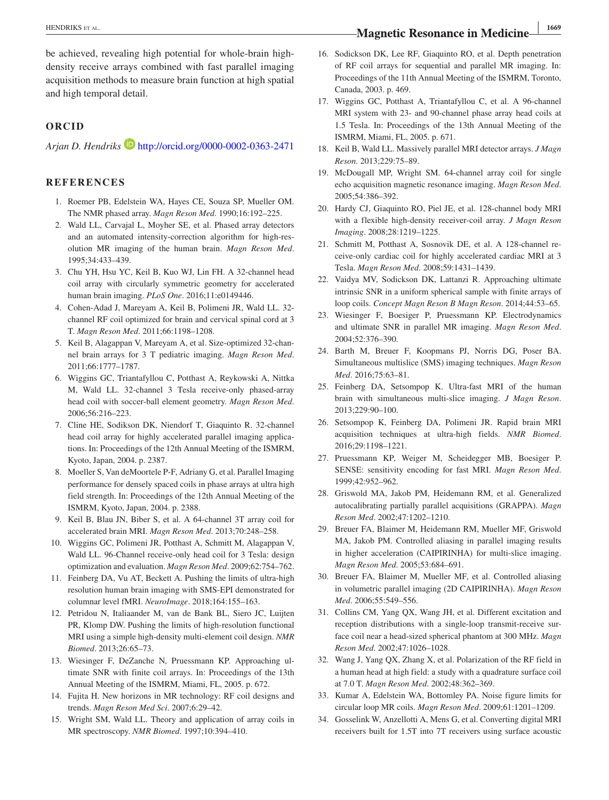be achieved, revealing high potential for whole-brain highdensity receive arrays combined with fast parallel imaging acquisition methods to measure brain function at high spatial and high temporal detail.

#### **ORCID**

*Arjan D. Hendriks* **b** <http://orcid.org/0000-0002-0363-2471>

#### **REFERENCES**

- 1. Roemer PB, Edelstein WA, Hayes CE, Souza SP, Mueller OM. The NMR phased array. *Magn Reson Med*. 1990;16:192–225.
- 2. Wald LL, Carvajal L, Moyher SE, et al. Phased array detectors and an automated intensity‐correction algorithm for high‐resolution MR imaging of the human brain. *Magn Reson Med*. 1995;34:433–439.
- 3. Chu YH, Hsu YC, Keil B, Kuo WJ, Lin FH. A 32‐channel head coil array with circularly symmetric geometry for accelerated human brain imaging. *PLoS One*. 2016;11:e0149446.
- 4. Cohen‐Adad J, Mareyam A, Keil B, Polimeni JR, Wald LL. 32‐ channel RF coil optimized for brain and cervical spinal cord at 3 T. *Magn Reson Med*. 2011;66:1198–1208.
- 5. Keil B, Alagappan V, Mareyam A, et al. Size‐optimized 32‐channel brain arrays for 3 T pediatric imaging. *Magn Reson Med*. 2011;66:1777–1787.
- 6. Wiggins GC, Triantafyllou C, Potthast A, Reykowski A, Nittka M, Wald LL. 32-channel 3 Tesla receive-only phased-array head coil with soccer‐ball element geometry. *Magn Reson Med*. 2006;56:216–223.
- 7. Cline HE, Sodikson DK, Niendorf T, Giaquinto R. 32‐channel head coil array for highly accelerated parallel imaging applications. In: Proceedings of the 12th Annual Meeting of the ISMRM, Kyoto, Japan, 2004. p. 2387.
- 8. Moeller S, Van deMoortele P‐F, Adriany G, et al. Parallel Imaging performance for densely spaced coils in phase arrays at ultra high field strength. In: Proceedings of the 12th Annual Meeting of the ISMRM, Kyoto, Japan, 2004. p. 2388.
- 9. Keil B, Blau JN, Biber S, et al. A 64‐channel 3T array coil for accelerated brain MRI. *Magn Reson Med*. 2013;70:248–258.
- 10. Wiggins GC, Polimeni JR, Potthast A, Schmitt M, Alagappan V, Wald LL. 96-Channel receive-only head coil for 3 Tesla: design optimization and evaluation. *Magn Reson Med*. 2009;62:754–762.
- 11. Feinberg DA, Vu AT, Beckett A. Pushing the limits of ultra-high resolution human brain imaging with SMS‐EPI demonstrated for columnar level fMRI. *NeuroImage*. 2018;164:155–163.
- 12. Petridou N, Italiaander M, van de Bank BL, Siero JC, Luijten PR, Klomp DW. Pushing the limits of high-resolution functional MRI using a simple high‐density multi‐element coil design. *NMR Biomed*. 2013;26:65–73.
- 13. Wiesinger F, DeZanche N, Pruessmann KP. Approaching ultimate SNR with finite coil arrays. In: Proceedings of the 13th Annual Meeting of the ISMRM, Miami, FL, 2005. p. 672.
- 14. Fujita H. New horizons in MR technology: RF coil designs and trends. *Magn Reson Med Sci*. 2007;6:29–42.
- 15. Wright SM, Wald LL. Theory and application of array coils in MR spectroscopy. *NMR Biomed*. 1997;10:394–410.

16. Sodickson DK, Lee RF, Giaquinto RO, et al. Depth penetration of RF coil arrays for sequential and parallel MR imaging. In: Proceedings of the 11th Annual Meeting of the ISMRM, Toronto,

17. Wiggins GC, Potthast A, Triantafyllou C, et al. A 96‐channel MRI system with 23‐ and 90‐channel phase array head coils at 1.5 Tesla. In: Proceedings of the 13th Annual Meeting of the ISMRM, Miami, FL, 2005. p. 671.

Canada, 2003. p. 469.

- 18. Keil B, Wald LL. Massively parallel MRI detector arrays. *J Magn Reson*. 2013;229:75–89.
- 19. McDougall MP, Wright SM. 64‐channel array coil for single echo acquisition magnetic resonance imaging. *Magn Reson Med*. 2005;54:386–392.
- 20. Hardy CJ, Giaquinto RO, Piel JE, et al. 128‐channel body MRI with a flexible high‐density receiver‐coil array. *J Magn Reson Imaging*. 2008;28:1219–1225.
- 21. Schmitt M, Potthast A, Sosnovik DE, et al. A 128‐channel receive‐only cardiac coil for highly accelerated cardiac MRI at 3 Tesla. *Magn Reson Med*. 2008;59:1431–1439.
- 22. Vaidya MV, Sodickson DK, Lattanzi R. Approaching ultimate intrinsic SNR in a uniform spherical sample with finite arrays of loop coils. *Concept Magn Reson B Magn Reson*. 2014;44:53–65.
- 23. Wiesinger F, Boesiger P, Pruessmann KP. Electrodynamics and ultimate SNR in parallel MR imaging. *Magn Reson Med*. 2004;52:376–390.
- 24. Barth M, Breuer F, Koopmans PJ, Norris DG, Poser BA. Simultaneous multislice (SMS) imaging techniques. *Magn Reson Med*. 2016;75:63–81.
- 25. Feinberg DA, Setsompop K. Ultra‐fast MRI of the human brain with simultaneous multi‐slice imaging. *J Magn Reson*. 2013;229:90–100.
- 26. Setsompop K, Feinberg DA, Polimeni JR. Rapid brain MRI acquisition techniques at ultra‐high fields. *NMR Biomed*. 2016;29:1198–1221.
- 27. Pruessmann KP, Weiger M, Scheidegger MB, Boesiger P. SENSE: sensitivity encoding for fast MRI. *Magn Reson Med*. 1999;42:952–962.
- 28. Griswold MA, Jakob PM, Heidemann RM, et al. Generalized autocalibrating partially parallel acquisitions (GRAPPA). *Magn Reson Med*. 2002;47:1202–1210.
- 29. Breuer FA, Blaimer M, Heidemann RM, Mueller MF, Griswold MA, Jakob PM. Controlled aliasing in parallel imaging results in higher acceleration (CAIPIRINHA) for multi-slice imaging. *Magn Reson Med*. 2005;53:684–691.
- 30. Breuer FA, Blaimer M, Mueller MF, et al. Controlled aliasing in volumetric parallel imaging (2D CAIPIRINHA). *Magn Reson Med*. 2006;55:549–556.
- 31. Collins CM, Yang QX, Wang JH, et al. Different excitation and reception distributions with a single‐loop transmit‐receive surface coil near a head‐sized spherical phantom at 300 MHz. *Magn Reson Med*. 2002;47:1026–1028.
- 32. Wang J, Yang QX, Zhang X, et al. Polarization of the RF field in a human head at high field: a study with a quadrature surface coil at 7.0 T. *Magn Reson Med*. 2002;48:362–369.
- 33. Kumar A, Edelstein WA, Bottomley PA. Noise figure limits for circular loop MR coils. *Magn Reson Med*. 2009;61:1201–1209.
- 34. Gosselink W, Anzellotti A, Mens G, et al. Converting digital MRI receivers built for 1.5T into 7T receivers using surface acoustic